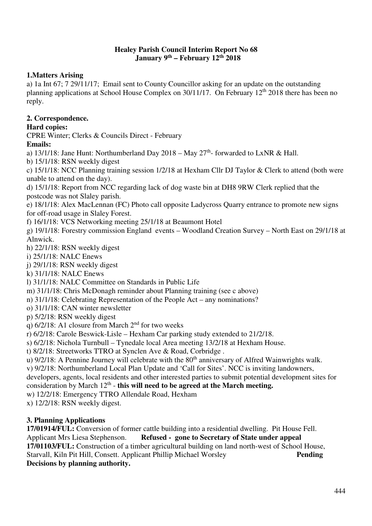#### **Healey Parish Council Interim Report No 68 January 9th – February 12th 2018**

# **1.Matters Arising**

a) 1a Int 67; 7 29/11/17; Email sent to County Councillor asking for an update on the outstanding planning applications at School House Complex on 30/11/17. On February 12th 2018 there has been no reply.

# **2. Correspondence.**

# **Hard copies:**

CPRE Winter; Clerks & Councils Direct - February

# **Emails:**

a) 13/1/18: Jane Hunt: Northumberland Day  $2018 - \text{May } 27^{\text{th}}$ - forwarded to LxNR & Hall.

b) 15/1/18: RSN weekly digest

c) 15/1/18: NCC Planning training session 1/2/18 at Hexham Cllr DJ Taylor & Clerk to attend (both were unable to attend on the day).

d) 15/1/18: Report from NCC regarding lack of dog waste bin at DH8 9RW Clerk replied that the postcode was not Slaley parish.

e) 18/1/18: Alex MacLennan (FC) Photo call opposite Ladycross Quarry entrance to promote new signs for off-road usage in Slaley Forest.

f) 16/1/18: VCS Networking meeting 25/1/18 at Beaumont Hotel

g) 19/1/18: Forestry commission England events – Woodland Creation Survey – North East on 29/1/18 at Alnwick.

h) 22/1/18: RSN weekly digest

i) 25/1/18: NALC Enews

j) 29/1/18: RSN weekly digest

k) 31/1/18: NALC Enews

l) 31/1/18: NALC Committee on Standards in Public Life

m) 31/1/18: Chris McDonagh reminder about Planning training (see c above)

n) 31/1/18: Celebrating Representation of the People Act – any nominations?

o) 31/1/18: CAN winter newsletter

p) 5/2/18: RSN weekly digest

q)  $6/2/18$ : A1 closure from March  $2<sup>nd</sup>$  for two weeks

r) 6/2/18: Carole Beswick-Lisle – Hexham Car parking study extended to 21/2/18.

s) 6/2/18: Nichola Turnbull – Tynedale local Area meeting 13/2/18 at Hexham House.

t) 8/2/18: Streetworks TTRO at Synclen Ave & Road, Corbridge .

u) 9/2/18: A Pennine Journey will celebrate with the 80<sup>th</sup> anniversary of Alfred Wainwrights walk.

v) 9/2/18: Northumberland Local Plan Update and 'Call for Sites'. NCC is inviting landowners,

developers, agents, local residents and other interested parties to submit potential development sites for consideration by March 12<sup>th</sup> - **this will need to be agreed at the March meeting.** 

w) 12/2/18: Emergency TTRO Allendale Road, Hexham

x) 12/2/18: RSN weekly digest.

# **3. Planning Applications**

**17/01914/FUL:** Conversion of former cattle building into a residential dwelling. Pit House Fell. Applicant Mrs Liesa Stephenson. **Refused - gone to Secretary of State under appeal 17/01103/FUL:** Construction of a timber agricultural building on land north-west of School House, Starvall, Kiln Pit Hill, Consett. Applicant Phillip Michael Worsley **Pending Decisions by planning authority.**